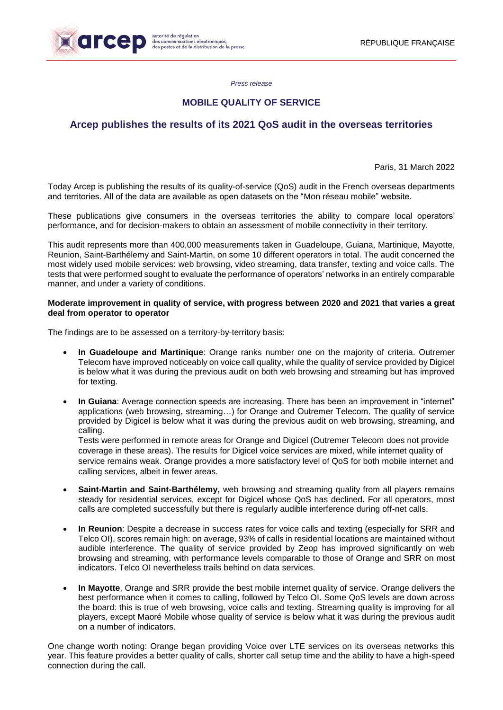

*Press release*

## **MOBILE QUALITY OF SERVICE**

# **Arcep publishes the results of its 2021 QoS audit in the overseas territories**

Paris, 31 March 2022

Today Arcep is publishing the results of its quality-of-service (QoS) audit in the French overseas departments and territories. All of the data are available as open datasets on the "Mon réseau mobile" website.

These publications give consumers in the overseas territories the ability to compare local operators' performance, and for decision-makers to obtain an assessment of mobile connectivity in their territory.

This audit represents more than 400,000 measurements taken in Guadeloupe, Guiana, Martinique, Mayotte, Reunion, Saint-Barthélemy and Saint-Martin, on some 10 different operators in total. The audit concerned the most widely used mobile services: web browsing, video streaming, data transfer, texting and voice calls. The tests that were performed sought to evaluate the performance of operators' networks in an entirely comparable manner, and under a variety of conditions.

### **Moderate improvement in quality of service, with progress between 2020 and 2021 that varies a great deal from operator to operator**

The findings are to be assessed on a territory-by-territory basis:

- **In Guadeloupe and Martinique**: Orange ranks number one on the majority of criteria. Outremer Telecom have improved noticeably on voice call quality, while the quality of service provided by Digicel is below what it was during the previous audit on both web browsing and streaming but has improved for texting.
- **In Guiana**: Average connection speeds are increasing. There has been an improvement in "internet" applications (web browsing, streaming…) for Orange and Outremer Telecom. The quality of service provided by Digicel is below what it was during the previous audit on web browsing, streaming, and calling.

Tests were performed in remote areas for Orange and Digicel (Outremer Telecom does not provide coverage in these areas). The results for Digicel voice services are mixed, while internet quality of service remains weak. Orange provides a more satisfactory level of QoS for both mobile internet and calling services, albeit in fewer areas.

- **Saint-Martin and Saint-Barthélemy,** web browsing and streaming quality from all players remains steady for residential services, except for Digicel whose QoS has declined. For all operators, most calls are completed successfully but there is regularly audible interference during off-net calls.
- **In Reunion**: Despite a decrease in success rates for voice calls and texting (especially for SRR and Telco OI), scores remain high: on average, 93% of calls in residential locations are maintained without audible interference. The quality of service provided by Zeop has improved significantly on web browsing and streaming, with performance levels comparable to those of Orange and SRR on most indicators. Telco OI nevertheless trails behind on data services.
- **In Mayotte**, Orange and SRR provide the best mobile internet quality of service. Orange delivers the best performance when it comes to calling, followed by Telco OI. Some QoS levels are down across the board: this is true of web browsing, voice calls and texting. Streaming quality is improving for all players, except Maoré Mobile whose quality of service is below what it was during the previous audit on a number of indicators.

One change worth noting: Orange began providing Voice over LTE services on its overseas networks this year. This feature provides a better quality of calls, shorter call setup time and the ability to have a high-speed connection during the call.